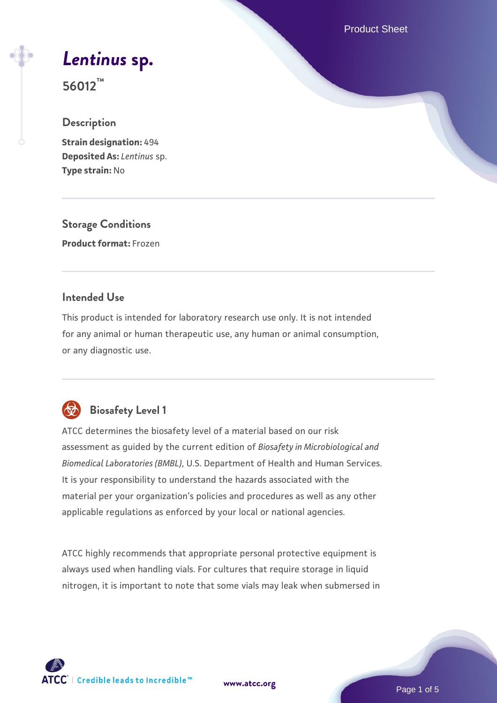Product Sheet

# *[Lentinus](https://www.atcc.org/products/56012)* **[sp.](https://www.atcc.org/products/56012)**

**56012™**

#### **Description**

**Strain designation:** 494 **Deposited As:** *Lentinus* sp. **Type strain:** No

**Storage Conditions Product format:** Frozen

#### **Intended Use**

This product is intended for laboratory research use only. It is not intended for any animal or human therapeutic use, any human or animal consumption, or any diagnostic use.



### **Biosafety Level 1**

ATCC determines the biosafety level of a material based on our risk assessment as guided by the current edition of *Biosafety in Microbiological and Biomedical Laboratories (BMBL)*, U.S. Department of Health and Human Services. It is your responsibility to understand the hazards associated with the material per your organization's policies and procedures as well as any other applicable regulations as enforced by your local or national agencies.

ATCC highly recommends that appropriate personal protective equipment is always used when handling vials. For cultures that require storage in liquid nitrogen, it is important to note that some vials may leak when submersed in

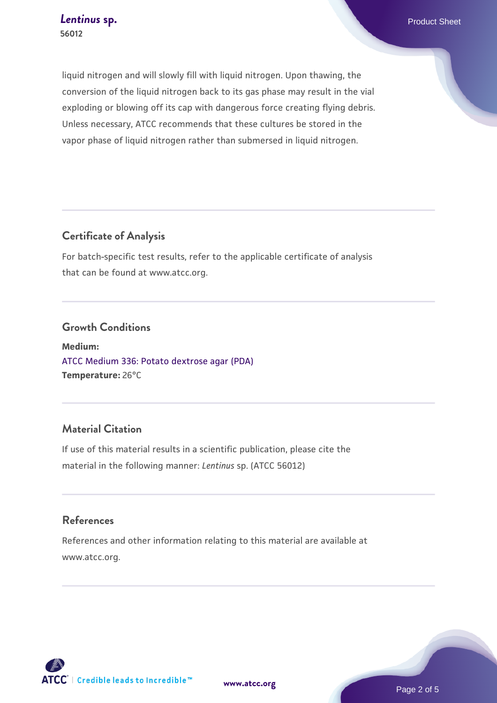liquid nitrogen and will slowly fill with liquid nitrogen. Upon thawing, the conversion of the liquid nitrogen back to its gas phase may result in the vial exploding or blowing off its cap with dangerous force creating flying debris. Unless necessary, ATCC recommends that these cultures be stored in the vapor phase of liquid nitrogen rather than submersed in liquid nitrogen.

#### **Certificate of Analysis**

For batch-specific test results, refer to the applicable certificate of analysis that can be found at www.atcc.org.

#### **Growth Conditions**

**Medium:**  [ATCC Medium 336: Potato dextrose agar \(PDA\)](https://www.atcc.org/-/media/product-assets/documents/microbial-media-formulations/3/3/6/atcc-medium-336.pdf?rev=d9160ad44d934cd8b65175461abbf3b9) **Temperature:** 26°C

#### **Material Citation**

If use of this material results in a scientific publication, please cite the material in the following manner: *Lentinus* sp. (ATCC 56012)

#### **References**

References and other information relating to this material are available at www.atcc.org.

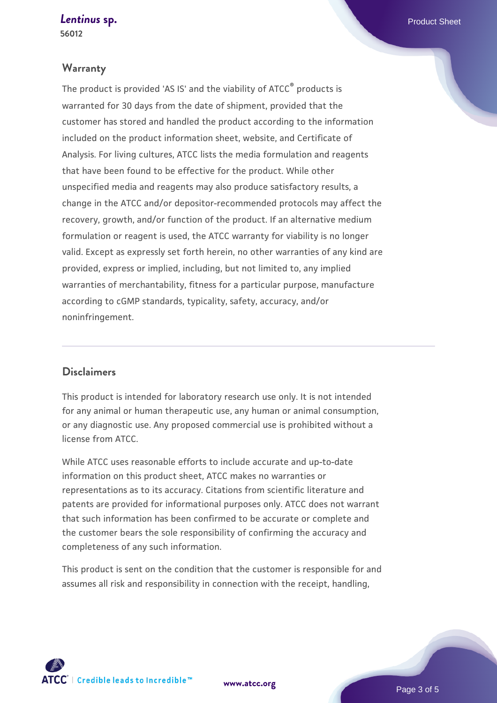*[Lentinus](https://www.atcc.org/products/56012)* [sp.](https://www.atcc.org/products/56012) **Product Sheet 56012**

#### **Warranty**

The product is provided 'AS IS' and the viability of ATCC® products is warranted for 30 days from the date of shipment, provided that the customer has stored and handled the product according to the information included on the product information sheet, website, and Certificate of Analysis. For living cultures, ATCC lists the media formulation and reagents that have been found to be effective for the product. While other unspecified media and reagents may also produce satisfactory results, a change in the ATCC and/or depositor-recommended protocols may affect the recovery, growth, and/or function of the product. If an alternative medium formulation or reagent is used, the ATCC warranty for viability is no longer valid. Except as expressly set forth herein, no other warranties of any kind are provided, express or implied, including, but not limited to, any implied warranties of merchantability, fitness for a particular purpose, manufacture according to cGMP standards, typicality, safety, accuracy, and/or noninfringement.

#### **Disclaimers**

This product is intended for laboratory research use only. It is not intended for any animal or human therapeutic use, any human or animal consumption, or any diagnostic use. Any proposed commercial use is prohibited without a license from ATCC.

While ATCC uses reasonable efforts to include accurate and up-to-date information on this product sheet, ATCC makes no warranties or representations as to its accuracy. Citations from scientific literature and patents are provided for informational purposes only. ATCC does not warrant that such information has been confirmed to be accurate or complete and the customer bears the sole responsibility of confirming the accuracy and completeness of any such information.

This product is sent on the condition that the customer is responsible for and assumes all risk and responsibility in connection with the receipt, handling,



**[www.atcc.org](http://www.atcc.org)**

Page 3 of 5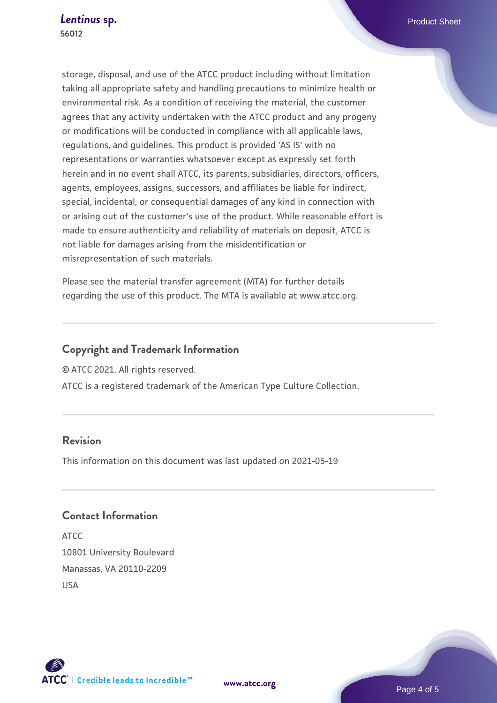storage, disposal, and use of the ATCC product including without limitation taking all appropriate safety and handling precautions to minimize health or environmental risk. As a condition of receiving the material, the customer agrees that any activity undertaken with the ATCC product and any progeny or modifications will be conducted in compliance with all applicable laws, regulations, and guidelines. This product is provided 'AS IS' with no representations or warranties whatsoever except as expressly set forth herein and in no event shall ATCC, its parents, subsidiaries, directors, officers, agents, employees, assigns, successors, and affiliates be liable for indirect, special, incidental, or consequential damages of any kind in connection with or arising out of the customer's use of the product. While reasonable effort is made to ensure authenticity and reliability of materials on deposit, ATCC is not liable for damages arising from the misidentification or misrepresentation of such materials.

Please see the material transfer agreement (MTA) for further details regarding the use of this product. The MTA is available at www.atcc.org.

#### **Copyright and Trademark Information**

© ATCC 2021. All rights reserved.

ATCC is a registered trademark of the American Type Culture Collection.

#### **Revision**

This information on this document was last updated on 2021-05-19

#### **Contact Information**

ATCC 10801 University Boulevard Manassas, VA 20110-2209 USA